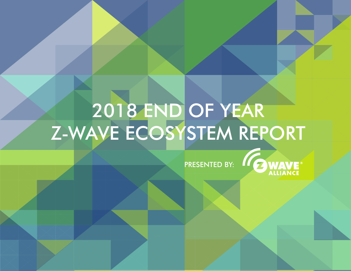# 2018 END OF YEAR Z-WAVE ECOSYSTEM REPORT

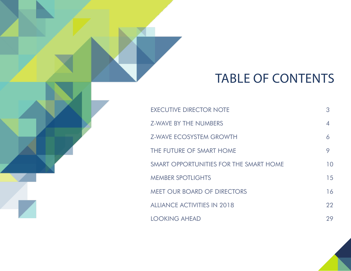# TABLE OF CONTENTS

| <b>EXECUTIVE DIRECTOR NOTE</b>         | 3              |
|----------------------------------------|----------------|
| <b>Z-WAVE BY THE NUMBERS</b>           | $\overline{4}$ |
| <b>Z-WAVE ECOSYSTEM GROWTH</b>         | 6              |
| THE FUTURE OF SMART HOME               |                |
| SMART OPPORTUNITIES FOR THE SMART HOME | 10             |
| <b>MEMBER SPOTLIGHTS</b>               | 15             |
| <b>MEET OUR BOARD OF DIRECTORS</b>     | 16             |
| <b>ALLIANCE ACTIVITIES IN 2018</b>     | 22             |
| <b>LOOKING AHEAD</b>                   | 29             |

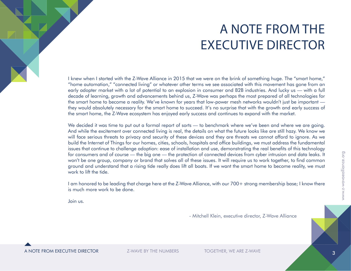# A NOTE FROM THE EXECUTIVE DIRECTOR

I knew when I started with the Z-Wave Alliance in 2015 that we were on the brink of something huge. The "smart home," "home automation," "connected living" or whatever other terms we see associated with this movement has gone from an early adopter market with a lot of potential to an explosion in consumer and B2B industries. And lucky us — with a full decade of learning, growth and advancements behind us, Z-Wave was perhaps the most prepared of all technologies for the smart home to become a reality. We've known for years that low-power mesh networks wouldn't just be important they would absolutely necessary for the smart home to succeed. It's no surprise that with the growth and early success of the smart home, the Z-Wave ecosystem has enjoyed early success and continues to expand with the market.

We decided it was time to put out a formal report of sorts — to benchmark where we've been and where we are going. And while the excitement over connected living is real, the details on what the future looks like are still hazy. We know we will face serious threats to privacy and security of these devices and they are threats we cannot afford to ignore. As we build the Internet of Things for our homes, cities, schools, hospitals and office buildings, we must address the fundamental issues that continue to challenge adoption: ease of installation and use, demonstrating the real benefits of this technology for consumers and of course — the big one — the protection of connected devices from cyber intrusion and data leaks. It won't be one group, company or brand that solves all of these issues. It will require us to work together, to find common ground and understand that a rising tide really does lift all boats. If we want the smart home to become reality, we must work to lift the tide.

I am honored to be leading that charge here at the Z-Wave Alliance, with our 700+ strong membership base; I know there is much more work to be done.

Join us.

- Mitchell Klein, executive director, Z-Wave Alliance

A NOTE FROM EXECUTIVE DIRECTOR THE Z-WAVE BY THE NUMBERS TOGETHER, WE ARE Z-WAVE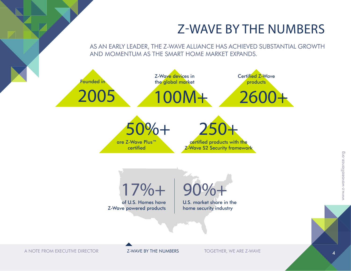### Z-WAVE BY THE NUMBERS

AS AN EARLY LEADER, THE Z-WAVE ALLIANCE HAS ACHIEVED SUBSTANTIAL GROWTH AND MOMENTUM AS THE SMART HOME MARKET EXPANDS.



A NOTE FROM EXECUTIVE DIRECTOR **Z-WAVE BY THE NUMBERS** TOGETHER, WE ARE Z-WAVE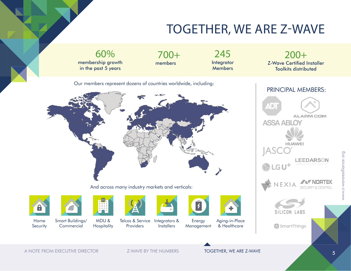### TOGETHER, WE ARE Z-WAVE

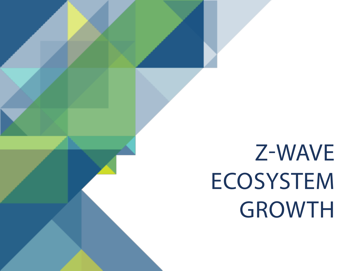# Z-WAVE **ECOSYSTEM** GROWTH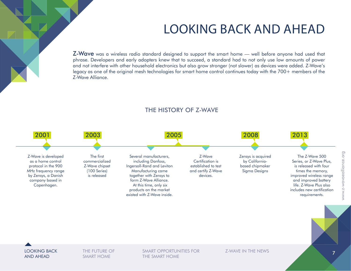### LOOKING BACK AND AHEAD

Z-Wave was a wireless radio standard designed to support the smart home — well before anyone had used that phrase. Developers and early adopters knew that to succeed, a standard had to not only use low amounts of power and not interfere with other household electronics but also grow stronger (not slower) as devices were added. Z-Wave's legacy as one of the original mesh technologies for smart home control continues today with the 700+ members of the Z-Wave Alliance.



#### THE HISTORY OF Z-WAVE

LOOKING BACK AND AHEAD

THE FUTURE OF SMART HOME

SMART OPPORTUNITIES FOR THE SMART HOME

Z-WAVE IN THE NEWS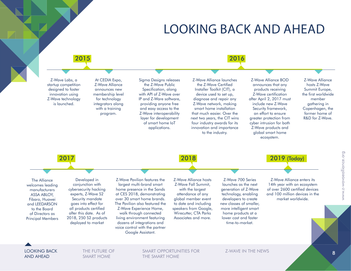### LOOKING BACK AND AHEAD



THE SMART HOME

AND AHEAD

SMART HOME

www.z-wavaealliance.org

www.z-wavaealliance.org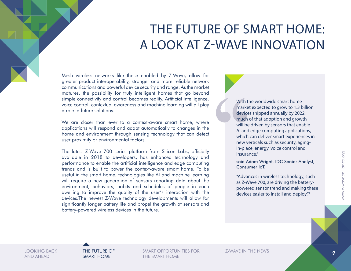## THE FUTURE OF SMART HOME: A LOOK AT Z-WAVE INNOVATION

Mesh wireless networks like those enabled by Z-Wave, allow for greater product interoperability, stronger and more reliable network communications and powerful device security and range. As the market matures, the possibility for truly intelligent homes that go beyond simple connectivity and control becomes reality. Artificial intelligence, voice control, contextual awareness and machine learning will all play a role in future solutions.

We are closer than ever to a context-aware smart home, where applications will respond and adapt automatically to changes in the home and environment through sensing technology that can detect user proximity or environmental factors.

The latest Z-Wave 700 series platform from Silicon Labs, officially available in 2018 to developers, has enhanced technology and performance to enable the artificial intelligence and edge computing trends and is built to power the context-aware smart home. To be useful in the smart home, technologies like AI and machine learning will require a new generation of sensors reporting data about the environment, behaviors, habits and schedules of people in each dwelling to improve the quality of the user's interaction with the devices.The newest Z-Wave technology developments will allow for significantly longer battery life and propel the growth of sensors and battery-powered wireless devices in the future.

With the worldwide smart home market expected to grow to 1.3 billion devices shipped annually by 2022, much of that adoption and growth will be driven by sensors that enable AI and edge computing applications, which can deliver smart experiences in new verticals such as security, agingin-place, energy, voice control and insurance,"

said Adam Wright, IDC Senior Analyst, Consumer IoT.

"Advances in wireless technology, such as Z-Wave 700, are driving the batterypowered sensor trend and making these devices easier to install and deploy."1

LOOKING BACK AND AHEAD

THE FUTURE OF SMART HOME

SMART OPPORTUNITIES FOR THE SMART HOME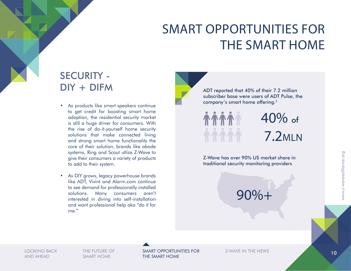### SECURITY - DIY + DIFM

- As products like smart speakers continue to get credit for boosting smart home adoption, the residential security market is still a huge driver for consumers. With the rise of do-it-yourself home security solutions that make connected living and strong smart home functionality the core of their solution, brands like abode systems, Ring and Scout utlize Z-Wave to give their consumers a variety of products to add to their system.
- As DIY grows, legacy powerhouse brands like ADT, Vivint and Alarm.com continue to see demand for professionally installed solutions. Many consumers aren't interested in diving into self-installation and want professional help aka "do it for me."

ADT reported that 40% of their 7.2 million subscriber base were users of ADT Pulse, the company's smart home offering.2



7.2MLN 40% of

Z-Wave has over 90% US market share in traditional security monitoring providers

90%+

THE FUTURE OF SMART HOME

LOOKING BACK THE FUTURE OF **SMART OPPORTUNITIES FOR** TELEVALUE IN THE NEWS THE REAL THE REAL TELECTRONIC IN THE REAL T THE SMART HOME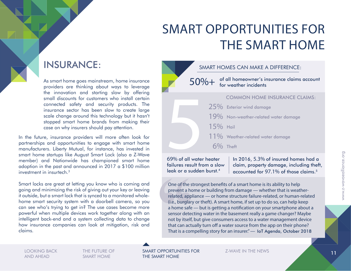### INSURANCE:

As smart home goes mainstream, home insurance providers are thinking about ways to leverage the innovation and starting slow by offering small discounts for customers who install certain connected safety and security products. The insurance sector has been slow to create large scale change around this technology but it hasn't stopped smart home brands from making their case on why insurers should pay attention.

In the future, insurance providers will more often look for partnerships and opportunities to engage with smart home manufacturers. Liberty Mutual, for instance, has invested in smart home startups like August Smart Lock (also a Z-Wave member) and Nationwide has championed smart home adoption in the past and announced in 2017 a \$100 million investment in insurtech<sup>3</sup>

Smart locks are great at letting you know who is coming and going and minimizing the risk of giving out your key or leaving it outside, but a smart lock that is synced to a monitored wholehome smart security system with a doorbell camera, so you can see who's trying to get in? The use cases become more powerful when multiple devices work together along with an intelligent back-end and a system collecting data to change how insurance companies can look at mitigation, risk and claims.



69% of all water heater failures result from a slow leak or a sudden burst.4

In 2016, 5.3% of insured homes had a claim, property damage, including theft, accounted for 97.1% of those claims.5

One of the strongest benefits of a smart home is its ability to help prevent a home or building from damage — whether that is weatherrelated, appliance — or home structure failure-related, or human-related (i.e., burglary or theft). A smart home, if set up to do so, can help keep a home safe — but is getting a notification on your smartphone about a sensor detecting water in the basement really a game changer? Maybe not by itself, but give consumers access to a water management device that can actually turn off a water source from the app on their phone? That is a compelling story for an insurer." — IoT Agenda, October 2018

LOOKING BACK AND AHEAD

THE FUTURE OF SMART HOME

SMART OPPORTUNITIES FOR THE SMART HOME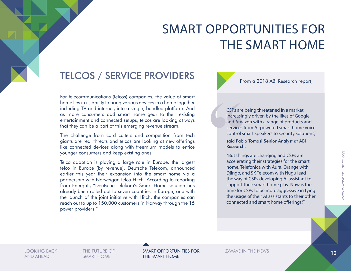### TELCOS / SERVICE PROVIDERS

For telecommunications (telcos) companies, the value of smart home lies in its ability to bring various devices in a home together including TV and internet, into a single, bundled platform. And as more consumers add smart home gear to their existing entertainment and connected setups, telcos are looking at ways that they can be a part of this emerging revenue stream.

The challenge from cord cutters and competition from tech giants are real threats and telcos are looking at new offerings like connected devices along with freemium models to entice younger consumers and keep existing ones.

Telco adoption is playing a large role in Europe: the largest telco in Europe (by revenue), Deutsche Telekom, announced earlier this year their expansion into the smart home via a partnership with Norweigan telco Hitch. According to reporting from Energati, "Deutsche Telekom's Smart Home solution has already been rolled out to seven countries in Europe, and with the launch of the joint initiative with Hitch, the companies can reach out to up to 150,000 customers in Norway through the 15 power providers."

#### From a 2018 ABI Research report,

CSPs are being threatened in a market increasingly driven by the likes of Google and Amazon with a range of products and services from AI-powered smart home voice control smart speakers to security solutions,"

said Pablo Tomasi Senior Analyst at ABI Research.

"But things are changing and CSPs are accelerating their strategies for the smart home. Telefonica with Aura, Orange with Djingo, and SK Telecom with Nugu lead the way of CSPs developing AI assistant to support their smart home play. Now is the time for CSPs to be more aggressive in tying the usage of their AI assistants to their other connected and smart home offerings."6

AND AHEAD

THE FUTURE OF SMART HOME

LOOKING BACK THE FUTURE OF **SMART OPPORTUNITIES FOR** TELEVALUE IN THE NEWS THE REAL TELEVISION OF THE REAL TELEC THE SMART HOME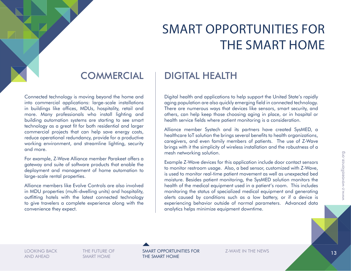#### **COMMERCIAL**

Connected technology is moving beyond the home and into commercial applications: large-scale installations in buildings like offices, MDUs, hospitality, retail and more. Many professionals who install lighting and building automation systems are starting to see smart technology as a great fit for both residential and larger commercial projects that can help save energy costs, reduce operational redundancy, provide for a productive working environment, and streamline lighting, security and more.

For example, Z-Wave Alliance member Parakeet offers a gateway and suite of software products that enable the deployment and management of home automation to large-scale rental properties.

Alliance members like Evolve Controls are also involved in MDU properties (multi-dwelling units) and hospitality, outfitting hotels with the latest connected technology to give travelers a complete experience along with the convenience they expect.

### DIGITAL HEALTH

Digital health and applications to help support the United State's rapidly aging population are also quickly emerging field in connected technology. There are numerous ways that devices like sensors, smart security, and others, can help keep those choosing aging in place, or in hospital or health service fields where patient monitoring is a consideration.

Alliance member Systech and its partners have created SysMED, a healthcare IoT solution the brings several benefits to health organizations, caregivers, and even family members of patients. The use of Z-Wave brings with it the simplicity of wireless installation and the robustness of a mesh networking solution.

Example Z-Wave devices for this application include door contact sensors to monitor restroom usage. Also, a bed sensor, customized with Z-Wave, is used to monitor real-time patient movement as well as unexpected bed moisture. Besides patient monitoring, the SysMED solution monitors the health of the medical equipment used in a patient's room. This includes monitoring the status of specialized medical equipment and generating alerts caused by conditions such as a low battery, or if a device is experiencing behavior outside of normal parameters. Advanced data analytics helps minimize equipment downtime.

LOOKING BACK AND AHEAD

THE FUTURE OF SMART HOME

SMART OPPORTUNITIES FOR THE SMART HOME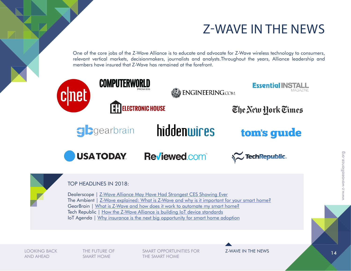### Z-WAVE IN THE NEWS

One of the core jobs of the Z-Wave Alliance is to educate and advocate for Z-Wave wireless technology to consumers, relevant vertical markets, decisionmakers, journalists and analysts.Throughout the years, Alliance leadership and members have insured that Z-Wave has remained at the forefront.



LOOKING BACK AND AHEAD

THE FUTURE OF SMART HOME

SMART OPPORTUNITIES FOR THE SMART HOME

Z-WAVE IN THE NEWS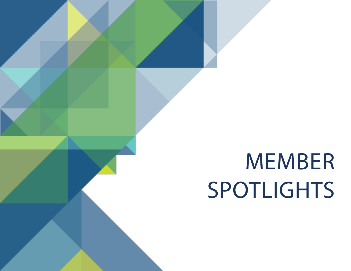# MEMBER SPOTLIGHTS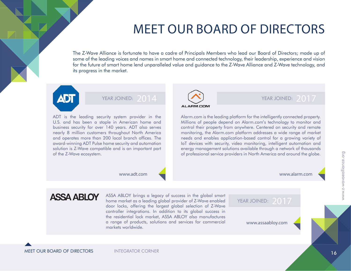### MEET OUR BOARD OF DIRECTORS

The Z-Wave Alliance is fortunate to have a cadre of Principals Members who lead our Board of Directors; made up of some of the leading voices and names in smart home and connected technology, their leadership, experience and vision for the future of smart home lend unparalleled value and guidance to the Z-Wave Alliance and Z-Wave technology, and its progress in the market.



#### YEAR JOINED: 2014

ADT is the leading security system provider in the U.S. and has been a staple in American home and business security for over 140 years. ADT also serves nearly 8 million customers throughout North America and operates more than 200 local branch offices. The award-winning ADT Pulse home security and automation solution is Z-Wave compatible and is an important part of the Z-Wave ecosystem.



#### YEAR JOINED: 2017

#### ALARM.COM

Alarm.com is the leading platform for the intelligently connected property. Millions of people depend on Alarm.com's technology to monitor and control their property from anywhere. Centered on security and remote monitoring, the Alarm.com platform addresses a wide range of market needs and enables application-based control for a growing variety of IoT devices with security, video monitoring, intelligent automation and energy management solutions available through a network of thousands of professional service providers in North America and around the globe.

www.adt.com

#### www.alarm.com

### **ASSA ABLOY**

ASSA ABLOY brings a legacy of success in the global smart<br>home market as a leading global provider of Z-Wave enabled YEAR JOINED: 2017<br>door locks, offering the largest alobal selection of Z-Wave door locks, offering the largest global selection of Z-Wave controller integrations. In addition to its global success in the residential lock market, ASSA ABLOY also manufactures a range of products, solutions and services for commercial markets worldwide. www.assaabloy.com

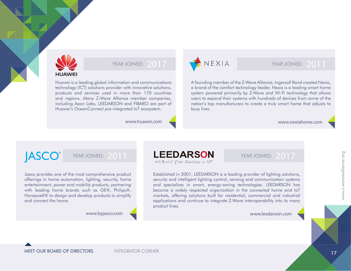

#### YEAR JOINED: 2017

Huawei is a leading global information and communications technology (ICT) solutions provider with innovative solutions, products and services used in more than 170 countries and regions. Many Z-Wave Alliance member companies, including Aeon Labs, LEEDARSON and FIBARO are part of Huawei's OceanConnect pre-integrated IoT ecosystem.

www.huawei.com



#### YEAR JOINED: 2011

A founding member of the Z-Wave Alliance, Ingersoll Rand created Nexia, a brand of the comfort technology leader. Nexia is a leading smart home system powered primarily by Z-Wave and Wi-Fi technology that allows users to expand their systems with hundreds of devices from some of the nation's top manufacturers to create a truly smart home that adjusts to busy lives.

www.nexiahome.com

### **JASCO**<sup>®</sup>

#### YEAR JOINED: 2011

Jasco provides one of the most comprehensive product offerings in home automation, lighting, security, home entertainment, power and mobility products, partnering with leading home brands such as GE®, Philips®, Honeywell® to design and develop products to simplify and connect the home.

www.byjasco.com



Established in 2001, LEEDARSON is a leading provider of lighting solutions, security and intelligent lighting control, sensing and communication systems and specializes in smart, energy-saving technologies. LEEDARSON has become a widely respected organization in the connected home and IoT markets, offering solutions built for residential, commercial and industrial applications and continue to integrate Z-Wave interoperability into its many product lines.

www.leedarson.com

YEAR JOINED: 2017

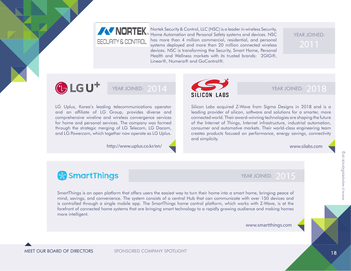### **AV NORTEK** SECURITY & CONTROL

Nortek Security & Control, LLC (NSC) is a leader in wireless Security, Home Automation and Personal Safety systems and devices. NSC has more than 4 million commercial, residential, and personal systems deployed and more than 20 million connected wireless devices. NSC is transforming the Security, Smart Home, Personal Health and Wellness markets with its trusted brands: 2GIG®, Linear®, Numera® and GoControl®.

# YEAR JOINED:

### $\bigoplus$  LG U<sup>+</sup>

#### YEAR JOINED: 2014

LG Uplus, Korea's leading telecommunications operator and an affiliate of LG Group, provides diverse and comprehensive wireline and wireless convergence services for home and personal services. The company was formed through the strategic merging of LG Telecom, LG Dacom, and LG Powercom, which together now operate as LG Uplus.

http://www.uplus.co.kr/en/



#### YEAR JOINED: 2018

Silicon Labs acquired Z-Wave from Sigma Designs in 2018 and is a leading provider of silicon, software and solutions for a smarter, more connected world. Their award-winning technologies are shaping the future of the Internet of Things, Internet infrastructure, industrial automation, consumer and automotive markets. Their world-class engineering team creates products focused on performance, energy savings, connectivity and simplicity.

www.silabs.com

### **& SmartThings**

YEAR JOINED: 2015

SmartThings is an open platform that offers users the easiest way to turn their home into a smart home, bringing peace of mind, savings, and convenience. The system consists of a central Hub that can communicate with over 150 devices and is controlled through a single mobile app. The SmartThings home control platform, which works with Z-Wave, is at the forefront of connected home systems that are bringing smart technology to a rapidly growing audience and making homes more intelligent.

www.smartthings.com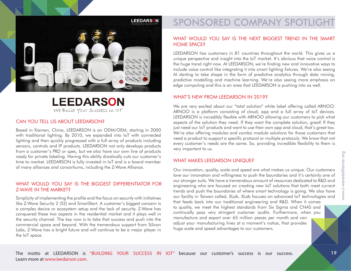

#### **LEEDARSON** We Build Your Success in IOT

#### CAN YOU TELL US ABOUT LEEDARSON?

Based in Xiamen, China, LEEDARSON is an ODM/OEM, starting in 2000 with traditional lighting. By 2010, we expanded into IoT with connected lighting and then quickly progressed with a full array of products including sensors, controls and IP products. LEEDARSON not only develops products from a customer's PRD or spec, but we also have our own line of products ready for private labeling. Having this ability drastically cuts our customer's time to market. LEEDARSON is fully invested in IoT and is a board member of many alliances and consortiums, including the Z-Wave Alliance.

#### WHAT WOULD YOU SAY IS THE BIGGEST DIFFERENTIATOR FOR Z-WAVE IN THE MARKET?

Simplicity of implementing the profile and the focus on security with initiatives like Z-Wave Security 2 (S2) and SmartStart. A customer's biggest concern is a complex device or ecosystem setup and the lack of security. Z-Wave has conquered these two aspects in the residential market and it plays well in the security channel. The key now is to take that success and push into the commercial space and beyond. With the tremendous support from Silicon Labs, Z-Wave has a bright future and will continue to be a major player in the IoT space.

### SPONSORED COMPANY SPOTLIGHT

#### WHAT WOULD YOU SAY IS THE NEXT BIGGEST TREND IN THE SMART HOME SPACE?

LEEDARSON has customers in 81 countries throughout the world. This gives us a unique perspective and insight into the IoT market. It's obvious that voice control is the huge trend right now. At LEEDARSON, we're finding new and innovative ways to include voice control like integrating it into smart lighting fixtures. We're also seeing AI starting to take shape in the form of predictive analytics through data mining, predictive modelling and machine learning. We're also seeing more emphasis on edge computing and this is an area that LEEDARSON is pushing into as well.

#### WHAT'S NEW FROM LEEDARSON IN 2019?

We are very excited about our "total solution" white label offering called ARNOO. ARNOO is a platform consisting of cloud, app and a full array of IoT devices. LEEDARSON is incredibly flexible with ARNOO allowing our customers to pick what aspects of the solution they need. If they want the complete solution, great! If they just need our IoT products and want to use their own app and cloud, that's great too. We're also offering modules and combo module solutions for those customers that need a product to support a specific protocol or multiple protocols. We know that not every customer's needs are the same. So, providing incredible flexibility to them is very important to us.

#### WHAT MAKES LEEDARSON UNIQUE?

Our innovation, quality, scale and speed are what makes us unique. Our customers love our innovation and willingness to push the boundaries and it's certainly one of our stronger suits. We have a tremendous amount of resources dedicated to R&D and engineering who are focused on creating new IoT solutions that both meet current trends and push the boundaries of where smart technology is going. We also have our facility in Taiwan called, XLab. XLab focuses on advanced IoT technologies and that feeds back into our traditional engineering and R&D. When it comes to quality, we meet the highest standards from Six Sigma and CNAS and continually pass very stringent customer audits. Furthermore, when you manufacture and export over 65 million pieces per month and can adjust your manufacturing lines at a moment's notice, that provides huge scale and speed advantages to our customers.

The motto at LEEDARSON is "BUILDING YOUR SUCCESS IN IOT" because our customer's success is our success. Learn more at www.leedarson.com.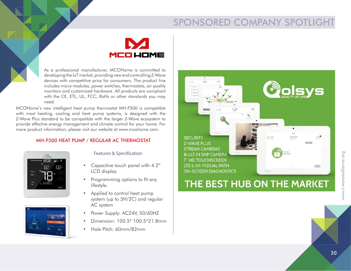### SPONSORED COMPANY SPOTLIGHT

# MCO LIOME

As a professional manufacturer, MCOHome is committed to developing the IoT market, providing new end controlling Z-Wave devices with competitive price for consumers. The product line includes micro modules, power switches, thermostats, air quality monitors and customized hardware. All products are compliant with the CE, ETL, UL, FCC, RoHs or other standards you may need.

MCOHome's new intelligent heat pump thermostat MH-F500 is compatible with most heating, cooling and heat pump systems, is designed with the Z-Wave Plus standard to be compatible with the larger Z-Wave ecosystem to provide effective energy management and climate control for your home. For more product information, please visit our website at www.mcohome.com.

#### MH-F500 HEAT PUMP / REGULAR AC THERMOSTAT





Features & Specification

- Capacitive touch panel with 4.2" LCD display
- Programming options to fit any lifestyle.
- Applied to control heat pump system (up to 3H/2C) and regular AC system
- Power Supply: AC24V, 50/60HZ
- Dimension: 100.5\* 100.5\*21.8mm
- Hole Pitch: 60mm/82mm

**SECURITY Z-WAVE PLUS STREAM CAMERAS BUILT IN 5MP CAMERA 7" HD TOUCHSCREEN** LTE & WI-FI DUAL PATH **ON-SCREEN DIAGNOSTICS** 

**County** 

### THE BEST HUB ON THE MARKET

12.55 P

www.z-wavaealliance.org www.z-wavaealliance.org

**CECT**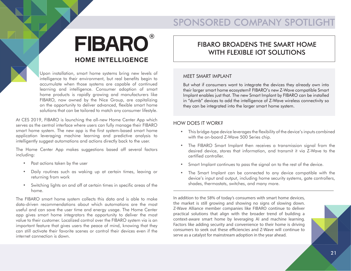### SPONSORED COMPANY SPOTLIGHT

## **FIBARO HOME INTELLIGENCE**

Upon installation, smart home systems bring new levels of intelligence to their environment, but real benefits begin to accumulate when those systems are capable of continued learning and intelligence. Consumer adoption of smart home products is rapidly growing and manufacturers like FIBARO, now owned by the Nice Group, are capitalizing on the opportunity to deliver advanced, flexible smart home solutions that can be tailored to match any consumer lifestyle.

At CES 2019, FIBARO is launching the all-new Home Center App which serves as the central interface where users can fully manage their FIBARO smart home system. The new app is the first system-based smart home application leveraging machine learning and predictive analysis to intelligently suggest automations and actions directly back to the user.

The Home Center App makes suggestions based off several factors including:

- Past actions taken by the user
- Daily routines such as waking up at certain times, leaving or returning from work
- Switching lights on and off at certain times in specific areas of the home.

The FIBARO smart home system collects this data and is able to make data-driven recommendations about which automations are the most useful and can save the user time and energy usage. The Home Center app gives smart home integrators the opportunity to deliver the most value to their customer. Localized control over the FIBARO system via is an important feature that gives users the peace of mind, knowing that they can still activate their favorite scenes or control their devices even if the internet connection is down.

#### FIBARO BROADENS THE SMART HOME WITH FLEXIBLE IOT SOLUTIONS

#### MEET SMART IMPLANT

But what if consumers want to integrate the devices they already own into their larger smart home ecosystem? FIBARO's new Z-Wave compatible Smart Implant enables just that. The new Smart Implant by FIBARO can be installed in "dumb" devices to add the intelligence of Z-Wave wireless connectivity so they can be integrated into the larger smart home system.

#### HOW DOES IT WORK?

- This bridge-type device leverages the flexibility of the device's inputs combined with the on-board Z-Wave 500 Series chip.
- The FIBARO Smart Implant then receives a transmission signal from the desired device, stores that information, and transmit it via Z-Wave to the certified controller.
- Smart Implant continues to pass the signal on to the rest of the device.
- The Smart Implant can be connected to any device compatible with the device's input and output, including home security systems, gate controllers, shades, thermostats, switches, and many more.

In addition to the 58% of today's consumers with smart home devices, the market is still growing and showing no signs of slowing down. Z-Wave Alliance member companies like FIBARO continue to deliver practical solutions that align with the broader trend of building a context-aware smart home by leveraging AI and machine learning. Factors like adding security and convenience to their home is driving consumers to seek out these efficiencies and Z-Wave will continue to serve as a catalyst for mainstream adoption in the year ahead.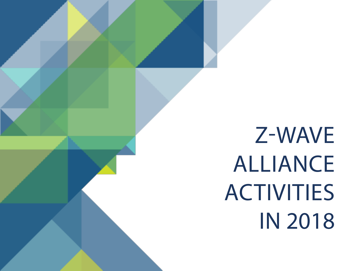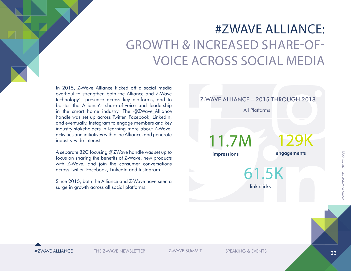# #ZWAVE ALLIANCE: GROWTH & INCREASED SHARE-OF-VOICE ACROSS SOCIAL MEDIA

In 2015, Z-Wave Alliance kicked off a social media overhaul to strengthen both the Alliance and Z-Wave technology's presence across key platforms, and to bolster the Alliance's share-of-voice and leadership in the smart home industry. The  $@ZW$ ave Alliance handle was set up across Twitter, Facebook, LinkedIn, and eventually, Instagram to engage members and key industry stakeholders in learning more about Z-Wave, activities and initiatives within the Alliance, and generate industry-wide interest.

A separate B2C focusing @ZWave handle was set up to focus on sharing the benefits of Z-Wave, new products with Z-Wave, and join the consumer conversations across Twitter, Facebook, LinkedIn and Instagram.

Since 2015, both the Alliance and Z-Wave have seen a surge in growth across all social platforms.





#ZWAVE ALLIANCE THE Z-WAVE NEWSLETTER SPEAKING & EVENTS

Z-WAVE SUMMIT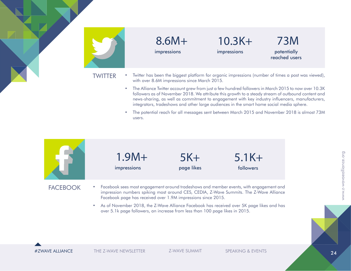

#### 8.6M+ impressions

10.3K+ impressions

73M potentially reached users

- TWITTER Twitter has been the biggest platform for organic impressions (number of times a post was viewed), with over 8.6M impressions since March 2015.
	- The Alliance Twitter account grew from just a few hundred followers in March 2015 to now over 10.3K followers as of November 2018. We attribute this growth to a steady stream of outbound content and news-sharing, as well as commitment to engagement with key industry influencers, manufacturers, integrators, tradeshows and other large audiences in the smart home social media sphere.
	- The potential reach for all messages sent between March 2015 and November 2018 is almost 73M users.



#ZWAVE ALLIANCE THE Z-WAVE NEWSLETTER Z-WAVE SUMMIT SPEAKING & EVENTS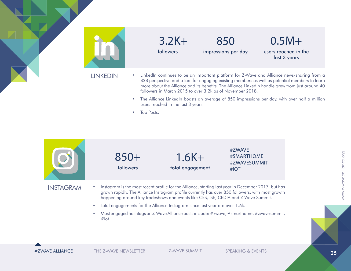

- The Alliance LinkedIn boasts an average of 850 impressions per day, with over half a million users reached in the last 3 years.
- Top Posts:



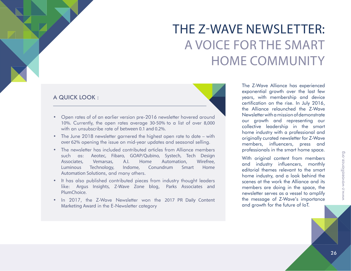# THE Z-WAVE NEWSLETTER: A VOICE FOR THE SMART HOME COMMUNITY

#### A QUICK LOOK :

- Open rates of of an earlier version pre-2016 newsletter hovered around 10%. Currently, the open rates average 30-50% to a list of over 8,000 with an unsubscribe rate of between 0.1 and 0.2%.
- The June 2018 newsletter garnered the highest open rate to date with over 62% opening the issue on mid-year updates and seasonal selling.
- The newsletter has included contributed articles from Alliance members such as: Aeotec, Fibaro, GOAP/Qubino, Systech, Tech Design Associates, Vemarsas, A.I. Home Automation, Wirefree, Luminous Technology, Indome, Conundrum Smart Home Automation Solutions, and many others.
- It has also published contributed pieces from industry thought leaders like: Argus Insights, Z-Wave Zone blog, Parks Associates and PlumChoice.
- In 2017, the Z-Wave Newsletter won the 2017 PR Daily Content Marketing Award in the E-Newsletter category

The Z-Wave Alliance has experienced exponential growth over the last few years, with membership and device certification on the rise. In July 2016, the Alliance relaunched the Z-Wave Newsletter with a mission of demonstrate our growth and representing our collective leadership in the smart home industry with a professional and originally curated newsletter for Z-Wave members, influencers, press and professionals in the smart home space.

With original content from members and industry influencers, monthly editorial themes relevant to the smart home industry, and a look behind the scenes at the work the Alliance and its members are doing in the space, the newsletter serves as a vessel to amplify the message of Z-Wave's importance and growth for the future of IoT.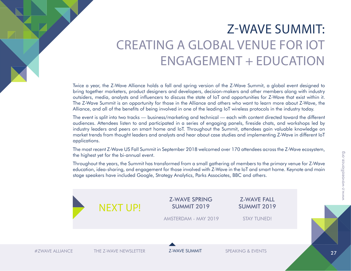# Z-WAVE SUMMIT: CREATING A GLOBAL VENUE FOR IOT ENGAGEMENT + EDUCATION

Twice a year, the Z-Wave Alliance holds a fall and spring version of the Z-Wave Summit, a global event designed to bring together marketers, product designers and developers, decision-makers and other members along with industry outsiders, media, analysts and influencers to discuss the state of IoT and opportunities for Z-Wave that exist within it. The Z-Wave Summit is an opportunity for those in the Alliance and others who want to learn more about Z-Wave, the Alliance, and all of the benefits of being involved in one of the leading IoT wireless protocols in the industry today.

The event is split into two tracks — business/marketing and technical — each with content directed toward the different audiences. Attendees listen to and participated in a series of engaging panels, fireside chats, and workshops led by industry leaders and peers on smart home and IoT. Throughout the Summit, attendees gain valuable knowledge on market trends from thought leaders and analysts and hear about case studies and implementing Z-Wave in different IoT applications.

The most recent Z-Wave US Fall Summit in September 2018 welcomed over 170 attendees across the Z-Wave ecosystem, the highest yet for the bi-annual event.

Throughout the years, the Summit has transformed from a small gathering of members to the primary venue for Z-Wave education, idea-sharing, and engagement for those involved with Z-Wave in the IoT and smart home. Keynote and main stage speakers have included Google, Strategy Analytics, Parks Associates, BBC and others.

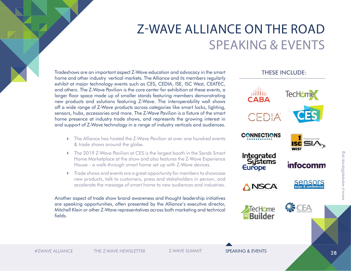### Z-WAVE ALLIANCE ON THE ROAD SPEAKING & EVENTS

Tradeshows are an important aspect Z-Wave education and advocacy in the smart home and other industry vertical markets. The Alliance and its members regularly exhibit at major technology events such as CES, CEDIA, ISE, ISC West, CEATEC, and others. The Z-Wave Pavilion is the core center for exhibition at these events, a larger floor space made up of smaller stands featuring members demonstrating new products and solutions featuring Z-Wave. The interoperability wall shows off a wide range of Z-Wave products across categories like smart locks, lighting, sensors, hubs, accessories and more. The Z-Wave Pavilion is a fixture of the smart home presence at industry trade shows, and represents the growing interest in and support of Z-Wave technology in a range of industry verticals and audiences.

- The Alliance has hosted the Z-Wave Pavilion at over one hundred events & trade shows around the globe.
- ▶ The 2019 Z-Wave Pavilion at CES is the largest booth in the Sands Smart Home Marketplace at the show and also features the Z-Wave Experience House - a walk-through smart home set up with Z-Wave devices.
- Trade shows and events are a great opportunity for members to showcase new products, talk to customers, press and stakeholders in person, and accelerate the message of smart home to new audiences and industries.

Another aspect of trade show brand awareness and thought leadership initiatives are speaking opportunities, often presented by the Alliance's executive director, Mitchell Klein or other Z-Wave representatives across both marketing and technical fields.



#ZWAVE ALLIANCE THE Z-WAVE NEWSLETTER Z-WAVE SUMMIT SPEAKING & EVENTS

www.z-wavaealliance.org

www.z-wavaealliance.org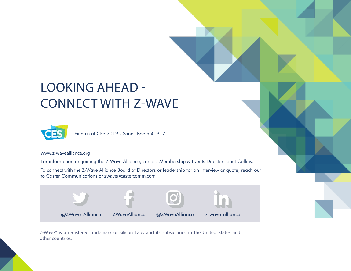# LOOKING AHEAD - CONNECT WITH Z-WAVE



Find us at CES 2019 - Sands Booth 41917

www.z-wavealliance.org

For information on joining the Z-Wave Alliance, contact Membership & Events Director Janet Collins.

To connect with the Z-Wave Alliance Board of Directors or leadership for an interview or quote, reach out to Caster Communications at zwave@castercomm.com



Z-Wave® is a registered trademark of Silicon Labs and its subsidiaries in the United States and other countries.